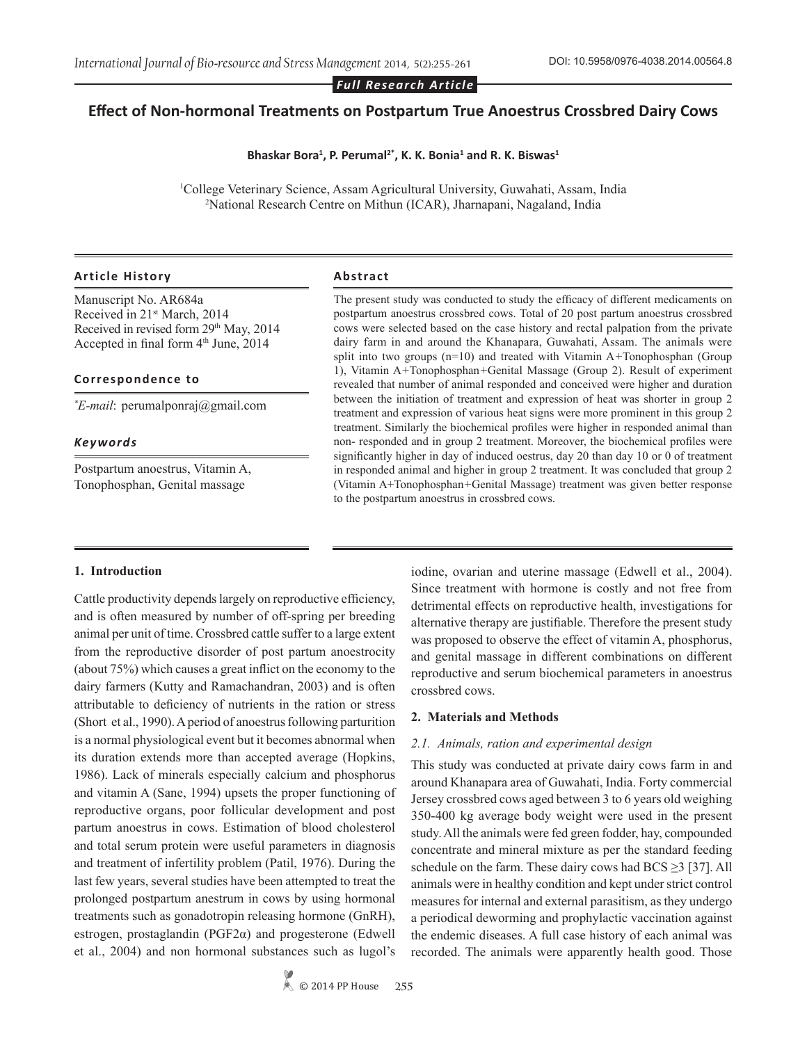*Full Research Article*

# **Effect of Non-hormonal Treatments on Postpartum True Anoestrus Crossbred Dairy Cows**

#### **Bhaskar Bora<sup>1</sup> , P. Perumal2\*, K. K. Bonia<sup>1</sup> and R. K. Biswas<sup>1</sup>**

<sup>1</sup>College Veterinary Science, Assam Agricultural University, Guwahati, Assam, India <sup>2</sup>National Research Centre on Mithun (ICAR), Ibarnanani, Nagaland, India National Research Centre on Mithun (ICAR), Jharnapani, Nagaland, India

#### **Article History Abstract**

Manuscript No. AR684a Received in 21st March, 2014 Received in revised form 29<sup>th</sup> May, 2014 Accepted in final form  $4<sup>th</sup>$  June, 2014

#### **Correspondence to**

*\* E-mail*: perumalponraj@gmail.com

### *Keywords*

Postpartum anoestrus, Vitamin A, Tonophosphan, Genital massage

The present study was conducted to study the efficacy of different medicaments on postpartum anoestrus crossbred cows. Total of 20 post partum anoestrus crossbred cows were selected based on the case history and rectal palpation from the private dairy farm in and around the Khanapara, Guwahati, Assam. The animals were split into two groups (n=10) and treated with Vitamin A*+*Tonophosphan (Group 1), Vitamin A*+*Tonophosphan*+*Genital Massage (Group 2). Result of experiment revealed that number of animal responded and conceived were higher and duration between the initiation of treatment and expression of heat was shorter in group 2 treatment and expression of various heat signs were more prominent in this group 2 treatment. Similarly the biochemical profiles were higher in responded animal than non- responded and in group 2 treatment. Moreover, the biochemical profiles were significantly higher in day of induced oestrus, day 20 than day 10 or 0 of treatment in responded animal and higher in group 2 treatment. It was concluded that group 2 (Vitamin A+Tonophosphan*+*Genital Massage) treatment was given better response to the postpartum anoestrus in crossbred cows.

#### **1. Introduction**

Cattle productivity depends largely on reproductive efficiency, and is often measured by number of off-spring per breeding animal per unit of time. Crossbred cattle suffer to a large extent from the reproductive disorder of post partum anoestrocity (about 75%) which causes a great inflict on the economy to the dairy farmers (Kutty and Ramachandran, 2003) and is often attributable to deficiency of nutrients in the ration or stress (Short et al., 1990). A period of anoestrus following parturition is a normal physiological event but it becomes abnormal when its duration extends more than accepted average (Hopkins, 1986). Lack of minerals especially calcium and phosphorus and vitamin A (Sane, 1994) upsets the proper functioning of reproductive organs, poor follicular development and post partum anoestrus in cows. Estimation of blood cholesterol and total serum protein were useful parameters in diagnosis and treatment of infertility problem (Patil, 1976). During the last few years, several studies have been attempted to treat the prolonged postpartum anestrum in cows by using hormonal treatments such as gonadotropin releasing hormone (GnRH), estrogen, prostaglandin (PGF2α) and progesterone (Edwell et al., 2004) and non hormonal substances such as lugol's iodine, ovarian and uterine massage (Edwell et al., 2004). Since treatment with hormone is costly and not free from detrimental effects on reproductive health, investigations for alternative therapy are justifiable. Therefore the present study was proposed to observe the effect of vitamin A, phosphorus, and genital massage in different combinations on different reproductive and serum biochemical parameters in anoestrus crossbred cows.

#### **2. Materials and Methods**

#### *2.1. Animals, ration and experimental design*

This study was conducted at private dairy cows farm in and around Khanapara area of Guwahati, India. Forty commercial Jersey crossbred cows aged between 3 to 6 years old weighing 350-400 kg average body weight were used in the present study. All the animals were fed green fodder, hay, compounded concentrate and mineral mixture as per the standard feeding schedule on the farm. These dairy cows had  $BCS \geq 3$  [37]. All animals were in healthy condition and kept under strict control measures for internal and external parasitism, as they undergo a periodical deworming and prophylactic vaccination against the endemic diseases. A full case history of each animal was recorded. The animals were apparently health good. Those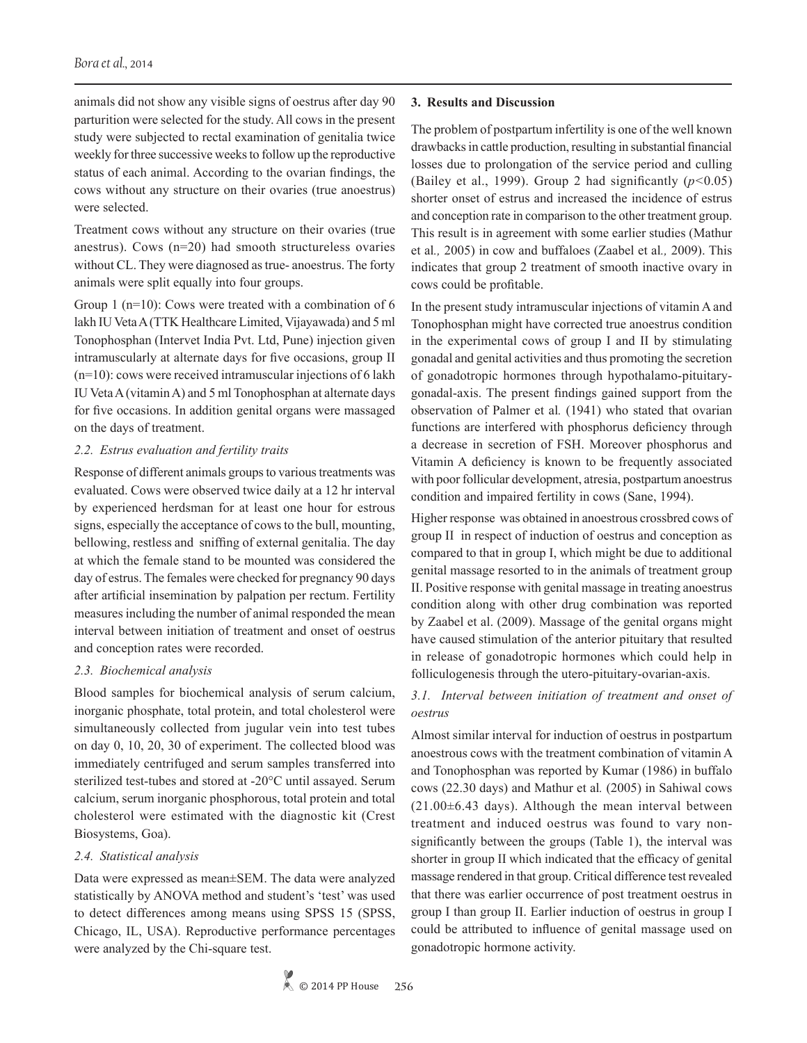animals did not show any visible signs of oestrus after day 90 parturition were selected for the study. All cows in the present study were subjected to rectal examination of genitalia twice weekly for three successive weeks to follow up the reproductive status of each animal. According to the ovarian findings, the cows without any structure on their ovaries (true anoestrus) were selected.

Treatment cows without any structure on their ovaries (true anestrus). Cows (n=20) had smooth structureless ovaries without CL. They were diagnosed as true- anoestrus. The forty animals were split equally into four groups.

Group 1 (n=10): Cows were treated with a combination of 6 lakh IU Veta A (TTK Healthcare Limited, Vijayawada) and 5 ml Tonophosphan (Intervet India Pvt. Ltd, Pune) injection given intramuscularly at alternate days for five occasions, group II (n=10): cows were received intramuscular injections of 6 lakh IU Veta A (vitamin A) and 5 ml Tonophosphan at alternate days for five occasions. In addition genital organs were massaged on the days of treatment.

#### *2.2. Estrus evaluation and fertility traits*

Response of different animals groups to various treatments was evaluated. Cows were observed twice daily at a 12 hr interval by experienced herdsman for at least one hour for estrous signs, especially the acceptance of cows to the bull, mounting, bellowing, restless and sniffing of external genitalia. The day at which the female stand to be mounted was considered the day of estrus. The females were checked for pregnancy 90 days after artificial insemination by palpation per rectum. Fertility measures including the number of animal responded the mean interval between initiation of treatment and onset of oestrus and conception rates were recorded.

### *2.3. Biochemical analysis*

Blood samples for biochemical analysis of serum calcium, inorganic phosphate, total protein, and total cholesterol were simultaneously collected from jugular vein into test tubes on day 0, 10, 20, 30 of experiment. The collected blood was immediately centrifuged and serum samples transferred into sterilized test-tubes and stored at -20°C until assayed. Serum calcium, serum inorganic phosphorous, total protein and total cholesterol were estimated with the diagnostic kit (Crest Biosystems, Goa).

### *2.4. Statistical analysis*

Data were expressed as mean±SEM. The data were analyzed statistically by ANOVA method and student's 'test' was used to detect differences among means using SPSS 15 (SPSS, Chicago, IL, USA). Reproductive performance percentages were analyzed by the Chi-square test.

#### **3. Results and Discussion**

The problem of postpartum infertility is one of the well known drawbacks in cattle production, resulting in substantial financial losses due to prolongation of the service period and culling (Bailey et al., 1999). Group 2 had significantly (*p<*0.05) shorter onset of estrus and increased the incidence of estrus and conception rate in comparison to the other treatment group. This result is in agreement with some earlier studies (Mathur et al*.,* 2005) in cow and buffaloes (Zaabel et al*.,* 2009). This indicates that group 2 treatment of smooth inactive ovary in cows could be profitable.

In the present study intramuscular injections of vitamin A and Tonophosphan might have corrected true anoestrus condition in the experimental cows of group I and II by stimulating gonadal and genital activities and thus promoting the secretion of gonadotropic hormones through hypothalamo-pituitarygonadal-axis. The present findings gained support from the observation of Palmer et al*.* (1941) who stated that ovarian functions are interfered with phosphorus deficiency through a decrease in secretion of FSH. Moreover phosphorus and Vitamin A deficiency is known to be frequently associated with poor follicular development, atresia, postpartum anoestrus condition and impaired fertility in cows (Sane, 1994).

Higher response was obtained in anoestrous crossbred cows of group II in respect of induction of oestrus and conception as compared to that in group I, which might be due to additional genital massage resorted to in the animals of treatment group II. Positive response with genital massage in treating anoestrus condition along with other drug combination was reported by Zaabel et al. (2009). Massage of the genital organs might have caused stimulation of the anterior pituitary that resulted in release of gonadotropic hormones which could help in folliculogenesis through the utero-pituitary-ovarian-axis.

## *3.1. Interval between initiation of treatment and onset of oestrus*

Almost similar interval for induction of oestrus in postpartum anoestrous cows with the treatment combination of vitamin A and Tonophosphan was reported by Kumar (1986) in buffalo cows (22.30 days) and Mathur et al*.* (2005) in Sahiwal cows  $(21.00\pm6.43$  days). Although the mean interval between treatment and induced oestrus was found to vary nonsignificantly between the groups (Table 1), the interval was shorter in group II which indicated that the efficacy of genital massage rendered in that group. Critical difference test revealed that there was earlier occurrence of post treatment oestrus in group I than group II. Earlier induction of oestrus in group I could be attributed to influence of genital massage used on gonadotropic hormone activity.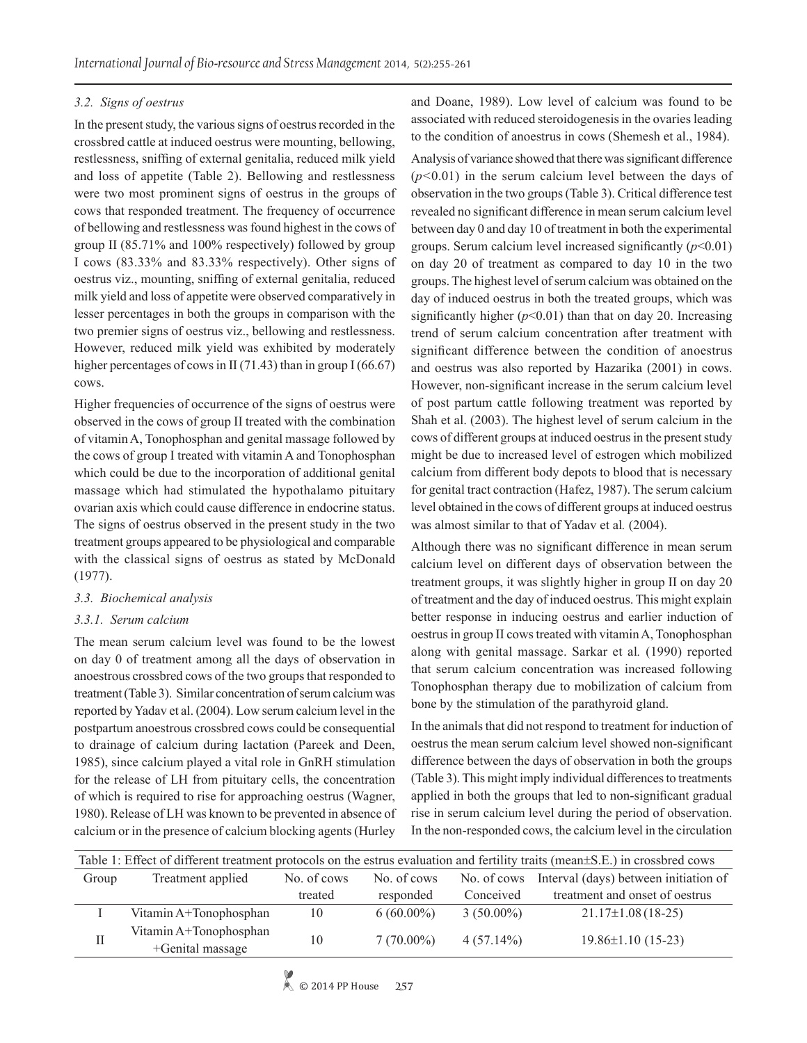# *3.2. Signs of oestrus*

In the present study, the various signs of oestrus recorded in the crossbred cattle at induced oestrus were mounting, bellowing, restlessness, sniffing of external genitalia, reduced milk yield and loss of appetite (Table 2). Bellowing and restlessness were two most prominent signs of oestrus in the groups of cows that responded treatment. The frequency of occurrence of bellowing and restlessness was found highest in the cows of group II (85.71% and 100% respectively) followed by group I cows (83.33% and 83.33% respectively). Other signs of oestrus viz., mounting, sniffing of external genitalia, reduced milk yield and loss of appetite were observed comparatively in lesser percentages in both the groups in comparison with the two premier signs of oestrus viz., bellowing and restlessness. However, reduced milk yield was exhibited by moderately higher percentages of cows in II (71.43) than in group I (66.67) cows.

Higher frequencies of occurrence of the signs of oestrus were observed in the cows of group II treated with the combination of vitamin A, Tonophosphan and genital massage followed by the cows of group I treated with vitamin A and Tonophosphan which could be due to the incorporation of additional genital massage which had stimulated the hypothalamo pituitary ovarian axis which could cause difference in endocrine status. The signs of oestrus observed in the present study in the two treatment groups appeared to be physiological and comparable with the classical signs of oestrus as stated by McDonald (1977).

# *3.3. Biochemical analysis*

# *3.3.1. Serum calcium*

The mean serum calcium level was found to be the lowest on day 0 of treatment among all the days of observation in anoestrous crossbred cows of the two groups that responded to treatment (Table 3). Similar concentration of serum calcium was reported by Yadav et al. (2004). Low serum calcium level in the postpartum anoestrous crossbred cows could be consequential to drainage of calcium during lactation (Pareek and Deen, 1985), since calcium played a vital role in GnRH stimulation for the release of LH from pituitary cells, the concentration of which is required to rise for approaching oestrus (Wagner, 1980). Release of LH was known to be prevented in absence of calcium or in the presence of calcium blocking agents (Hurley

and Doane, 1989). Low level of calcium was found to be associated with reduced steroidogenesis in the ovaries leading to the condition of anoestrus in cows (Shemesh et al., 1984).

Analysis of variance showed that there was significant difference (*p<*0.01) in the serum calcium level between the days of observation in the two groups (Table 3). Critical difference test revealed no significant difference in mean serum calcium level between day 0 and day 10 of treatment in both the experimental groups. Serum calcium level increased significantly  $(p<0.01)$ on day 20 of treatment as compared to day 10 in the two groups. The highest level of serum calcium was obtained on the day of induced oestrus in both the treated groups, which was significantly higher  $(p<0.01)$  than that on day 20. Increasing trend of serum calcium concentration after treatment with significant difference between the condition of anoestrus and oestrus was also reported by Hazarika (2001) in cows. However, non-significant increase in the serum calcium level of post partum cattle following treatment was reported by Shah et al. (2003). The highest level of serum calcium in the cows of different groups at induced oestrus in the present study might be due to increased level of estrogen which mobilized calcium from different body depots to blood that is necessary for genital tract contraction (Hafez, 1987). The serum calcium level obtained in the cows of different groups at induced oestrus was almost similar to that of Yadav et al*.* (2004).

Although there was no significant difference in mean serum calcium level on different days of observation between the treatment groups, it was slightly higher in group II on day 20 of treatment and the day of induced oestrus. This might explain better response in inducing oestrus and earlier induction of oestrus in group II cows treated with vitamin A, Tonophosphan along with genital massage. Sarkar et al*.* (1990) reported that serum calcium concentration was increased following Tonophosphan therapy due to mobilization of calcium from bone by the stimulation of the parathyroid gland.

In the animals that did not respond to treatment for induction of oestrus the mean serum calcium level showed non-significant difference between the days of observation in both the groups (Table 3). This might imply individual differences to treatments applied in both the groups that led to non-significant gradual rise in serum calcium level during the period of observation. In the non-responded cows, the calcium level in the circulation

| Table 1: Effect of different treatment protocols on the estrus evaluation and fertility traits (mean±S.E.) in crossbred cows |                                            |             |                            |              |                                       |  |  |  |
|------------------------------------------------------------------------------------------------------------------------------|--------------------------------------------|-------------|----------------------------|--------------|---------------------------------------|--|--|--|
| Group                                                                                                                        | Treatment applied                          | No. of cows | No. of cows<br>No. of cows |              | Interval (days) between initiation of |  |  |  |
|                                                                                                                              |                                            | treated     | responded                  | Conceived    | treatment and onset of oestrus        |  |  |  |
|                                                                                                                              | Vitamin A+Tonophosphan                     | 10          | $6(60.00\%)$               | $3(50.00\%)$ | $21.17\pm1.08(18-25)$                 |  |  |  |
| $\mathbf{I}$                                                                                                                 | Vitamin A+Tonophosphan<br>+Genital massage | 10          | $7(70.00\%)$               | $4(57.14\%)$ | $19.86 \pm 1.10$ (15-23)              |  |  |  |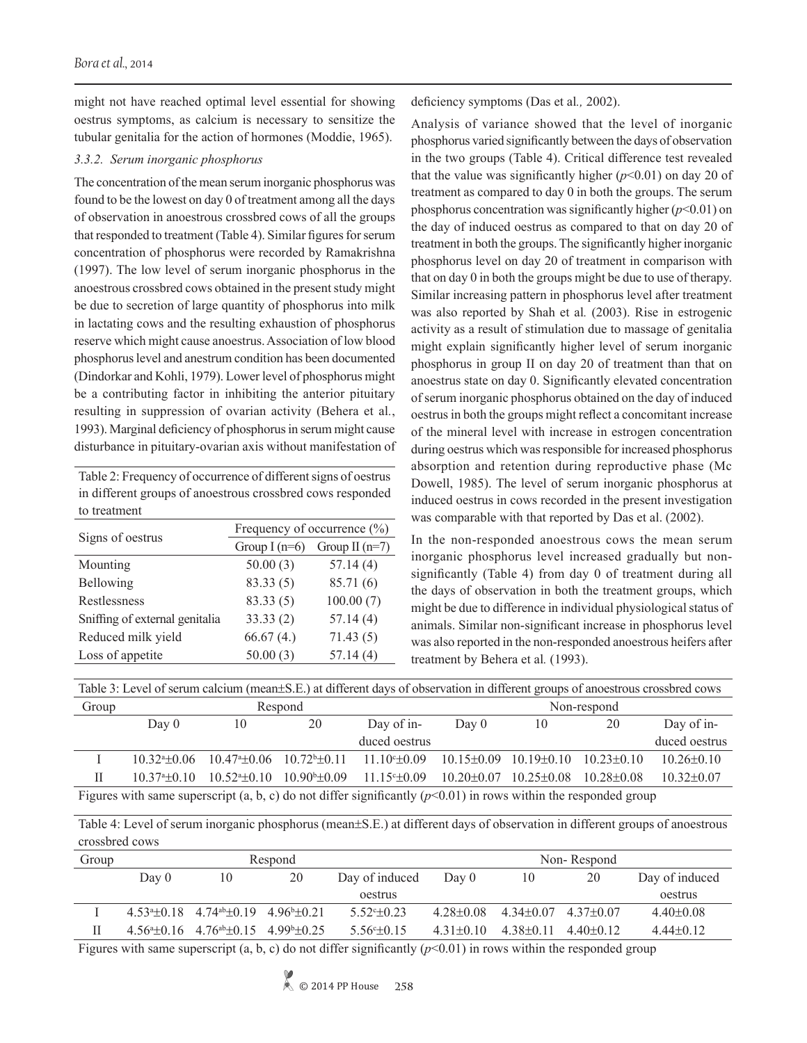might not have reached optimal level essential for showing oestrus symptoms, as calcium is necessary to sensitize the tubular genitalia for the action of hormones (Moddie, 1965).

## *3.3.2. Serum inorganic phosphorus*

The concentration of the mean serum inorganic phosphorus was found to be the lowest on day 0 of treatment among all the days of observation in anoestrous crossbred cows of all the groups that responded to treatment (Table 4). Similar figures for serum concentration of phosphorus were recorded by Ramakrishna (1997). The low level of serum inorganic phosphorus in the anoestrous crossbred cows obtained in the present study might be due to secretion of large quantity of phosphorus into milk in lactating cows and the resulting exhaustion of phosphorus reserve which might cause anoestrus. Association of low blood phosphorus level and anestrum condition has been documented (Dindorkar and Kohli, 1979). Lower level of phosphorus might be a contributing factor in inhibiting the anterior pituitary resulting in suppression of ovarian activity (Behera et al*.*, 1993). Marginal deficiency of phosphorus in serum might cause disturbance in pituitary-ovarian axis without manifestation of

Table 2: Frequency of occurrence of different signs of oestrus in different groups of anoestrous crossbred cows responded to treatment

| Signs of oestrus               | Frequency of occurrence (%)                                                             |                  |  |  |  |
|--------------------------------|-----------------------------------------------------------------------------------------|------------------|--|--|--|
|                                | Group $I(n=6)$<br>50.00(3)<br>83.33(5)<br>83.33(5)<br>33.33(2)<br>66.67(4.)<br>50.00(3) | Group II $(n=7)$ |  |  |  |
| Mounting                       |                                                                                         | 57.14(4)         |  |  |  |
| Bellowing                      |                                                                                         | 85.71 (6)        |  |  |  |
| Restlessness                   |                                                                                         | 100.00(7)        |  |  |  |
| Sniffing of external genitalia |                                                                                         | 57.14(4)         |  |  |  |
| Reduced milk yield             |                                                                                         | 71.43(5)         |  |  |  |
| Loss of appetite               |                                                                                         | 57.14(4)         |  |  |  |
|                                |                                                                                         |                  |  |  |  |

deficiency symptoms (Das et al*.,* 2002).

Analysis of variance showed that the level of inorganic phosphorus varied significantly between the days of observation in the two groups (Table 4). Critical difference test revealed that the value was significantly higher  $(p<0.01)$  on day 20 of treatment as compared to day 0 in both the groups. The serum phosphorus concentration was significantly higher  $(p<0.01)$  on the day of induced oestrus as compared to that on day 20 of treatment in both the groups. The significantly higher inorganic phosphorus level on day 20 of treatment in comparison with that on day 0 in both the groups might be due to use of therapy. Similar increasing pattern in phosphorus level after treatment was also reported by Shah et al*.* (2003). Rise in estrogenic activity as a result of stimulation due to massage of genitalia might explain significantly higher level of serum inorganic phosphorus in group II on day 20 of treatment than that on anoestrus state on day 0. Significantly elevated concentration of serum inorganic phosphorus obtained on the day of induced oestrus in both the groups might reflect a concomitant increase of the mineral level with increase in estrogen concentration during oestrus which was responsible for increased phosphorus absorption and retention during reproductive phase (Mc Dowell, 1985). The level of serum inorganic phosphorus at induced oestrus in cows recorded in the present investigation was comparable with that reported by Das et al. (2002).

In the non-responded anoestrous cows the mean serum inorganic phosphorus level increased gradually but nonsignificantly (Table 4) from day 0 of treatment during all the days of observation in both the treatment groups, which might be due to difference in individual physiological status of animals. Similar non-significant increase in phosphorus level was also reported in the non-responded anoestrous heifers after treatment by Behera et al*.* (1993).

| Table 3: Level of serum calcium (mean±S.E.) at different days of observation in different groups of anoestrous crossbred cows |                                                                                                                       |                        |                        |                            |                               |                                   |             |                  |  |  |
|-------------------------------------------------------------------------------------------------------------------------------|-----------------------------------------------------------------------------------------------------------------------|------------------------|------------------------|----------------------------|-------------------------------|-----------------------------------|-------------|------------------|--|--|
| Group                                                                                                                         |                                                                                                                       |                        | Respond                |                            | Non-respond                   |                                   |             |                  |  |  |
|                                                                                                                               | Day $0$                                                                                                               | 10                     | 20                     | Day of in-                 | Day 0                         | 10                                | 20          | Day of in-       |  |  |
|                                                                                                                               |                                                                                                                       |                        |                        | duced oestrus              |                               |                                   |             | duced oestrus    |  |  |
|                                                                                                                               | $10,32^{a+0}06$                                                                                                       | $10.47^{\circ}$ = 0.06 | $1072^{b+0}11$         | $11.10^{\circ}$ $\pm 0.09$ | $10.15\pm0.09$ $10.19\pm0.10$ |                                   | $1023+010$  | $10.26 \pm 0.10$ |  |  |
| П                                                                                                                             | $1037^{a+0}$ 10                                                                                                       | $10.524 \pm 0.10$      | $10.90^{\circ}$ ± 0.09 | $11.15^{\circ} \pm 0.09$   |                               | $10.20 \pm 0.07$ $10.25 \pm 0.08$ | $1028+0.08$ | $10.32 \pm 0.07$ |  |  |
|                                                                                                                               | Figures with same superscript $(a, b, c)$ do not differ significantly $(nc, 0.01)$ in rows within the responded group |                        |                        |                            |                               |                                   |             |                  |  |  |

Figures with same superscript  $(a, b, c)$  do not differ significantly  $(p<0.01)$  in rows within the responded group

Table 4: Level of serum inorganic phosphorus (mean±S.E.) at different days of observation in different groups of anoestrous crossbred cows

| Group  |           | Respond                                                                        |    |                                                                                                                                                                                                                                                                                                                               |               | Non-Respond   |               |                |  |
|--------|-----------|--------------------------------------------------------------------------------|----|-------------------------------------------------------------------------------------------------------------------------------------------------------------------------------------------------------------------------------------------------------------------------------------------------------------------------------|---------------|---------------|---------------|----------------|--|
|        | Day 0     | 10                                                                             | 20 | Day of induced                                                                                                                                                                                                                                                                                                                | Day $0$       | 10            | 20            | Day of induced |  |
|        |           |                                                                                |    | oestrus                                                                                                                                                                                                                                                                                                                       |               |               |               | oestrus        |  |
|        |           | $4.53^{\circ}$ + 0.18 $4.74^{\circ}$ + 0.19 $4.96^{\circ}$ + 0.21              |    | $5.52 + 0.23$                                                                                                                                                                                                                                                                                                                 | $428+0.08$    | $4.34\pm0.07$ | $437+0.07$    | $4.40\pm0.08$  |  |
| Н      |           | $4.56^{\text{a}}\pm 0.16$ $4.76^{\text{ab}}\pm 0.15$ $4.99^{\text{b}}\pm 0.25$ |    | $5.56^{\circ}$ + 0.15                                                                                                                                                                                                                                                                                                         | $4.31\pm0.10$ | $4.38\pm0.11$ | $4.40\pm0.12$ | $4.44\pm0.12$  |  |
| $\sim$ | $\ddotsc$ |                                                                                |    | $\cdot$ , $\cdot$ , $\cdot$ , $\cdot$ , $\cdot$ , $\cdot$ , $\cdot$ , $\cdot$ , $\cdot$ , $\cdot$ , $\cdot$ , $\cdot$ , $\cdot$ , $\cdot$ , $\cdot$ , $\cdot$ , $\cdot$ , $\cdot$ , $\cdot$ , $\cdot$ , $\cdot$ , $\cdot$ , $\cdot$ , $\cdot$ , $\cdot$ , $\cdot$ , $\cdot$ , $\cdot$ , $\cdot$ , $\cdot$ , $\cdot$ , $\cdot$ |               | $\cdots$      |               |                |  |

Figures with same superscript (a, b, c) do not differ significantly  $(p<0.01)$  in rows within the responded group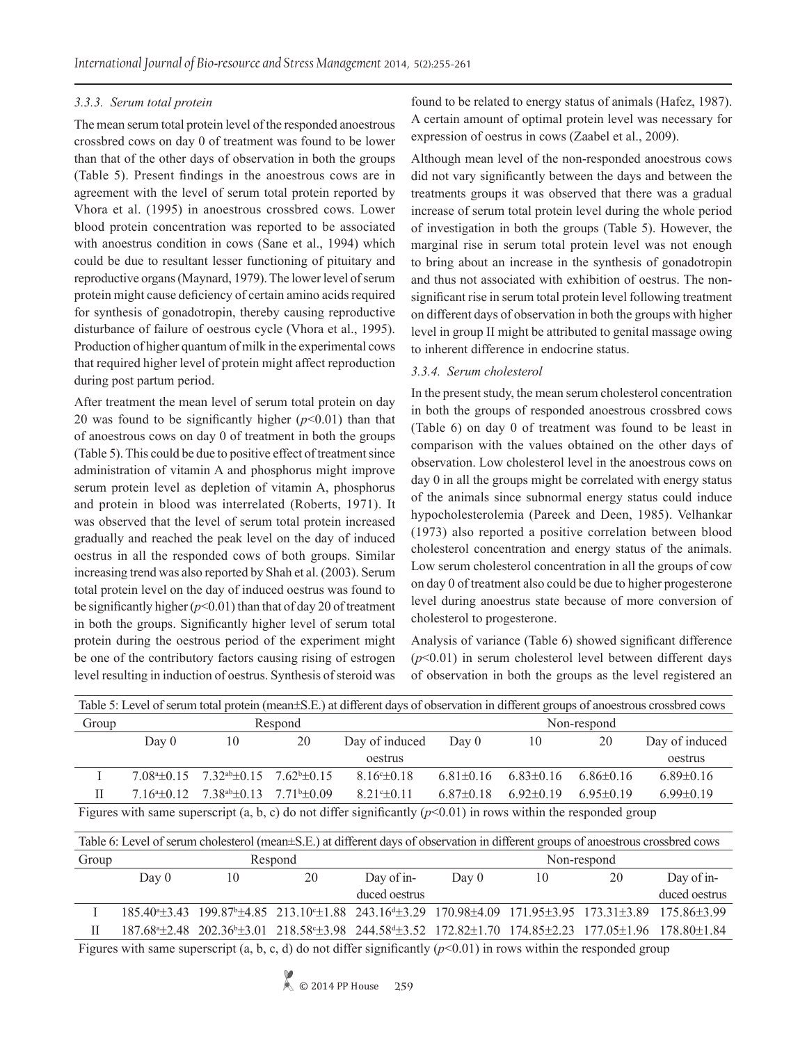## *3.3.3. Serum total protein*

The mean serum total protein level of the responded anoestrous crossbred cows on day 0 of treatment was found to be lower than that of the other days of observation in both the groups (Table 5). Present findings in the anoestrous cows are in agreement with the level of serum total protein reported by Vhora et al. (1995) in anoestrous crossbred cows. Lower blood protein concentration was reported to be associated with anoestrus condition in cows (Sane et al., 1994) which could be due to resultant lesser functioning of pituitary and reproductive organs (Maynard, 1979). The lower level of serum protein might cause deficiency of certain amino acids required for synthesis of gonadotropin, thereby causing reproductive disturbance of failure of oestrous cycle (Vhora et al., 1995). Production of higher quantum of milk in the experimental cows that required higher level of protein might affect reproduction during post partum period.

After treatment the mean level of serum total protein on day 20 was found to be significantly higher  $(p<0.01)$  than that of anoestrous cows on day 0 of treatment in both the groups (Table 5). This could be due to positive effect of treatment since administration of vitamin A and phosphorus might improve serum protein level as depletion of vitamin A, phosphorus and protein in blood was interrelated (Roberts, 1971). It was observed that the level of serum total protein increased gradually and reached the peak level on the day of induced oestrus in all the responded cows of both groups. Similar increasing trend was also reported by Shah et al. (2003). Serum total protein level on the day of induced oestrus was found to be significantly higher (*p*<0.01) than that of day 20 of treatment in both the groups. Significantly higher level of serum total protein during the oestrous period of the experiment might be one of the contributory factors causing rising of estrogen level resulting in induction of oestrus. Synthesis of steroid was

found to be related to energy status of animals (Hafez, 1987). A certain amount of optimal protein level was necessary for expression of oestrus in cows (Zaabel et al., 2009).

Although mean level of the non-responded anoestrous cows did not vary significantly between the days and between the treatments groups it was observed that there was a gradual increase of serum total protein level during the whole period of investigation in both the groups (Table 5). However, the marginal rise in serum total protein level was not enough to bring about an increase in the synthesis of gonadotropin and thus not associated with exhibition of oestrus. The nonsignificant rise in serum total protein level following treatment on different days of observation in both the groups with higher level in group II might be attributed to genital massage owing to inherent difference in endocrine status.

## *3.3.4. Serum cholesterol*

In the present study, the mean serum cholesterol concentration in both the groups of responded anoestrous crossbred cows (Table 6) on day 0 of treatment was found to be least in comparison with the values obtained on the other days of observation. Low cholesterol level in the anoestrous cows on day 0 in all the groups might be correlated with energy status of the animals since subnormal energy status could induce hypocholesterolemia (Pareek and Deen, 1985). Velhankar (1973) also reported a positive correlation between blood cholesterol concentration and energy status of the animals. Low serum cholesterol concentration in all the groups of cow on day 0 of treatment also could be due to higher progesterone level during anoestrus state because of more conversion of cholesterol to progesterone.

Analysis of variance (Table 6) showed significant difference (*p*<0.01) in serum cholesterol level between different days of observation in both the groups as the level registered an

| Table 5: Level of serum total protein (mean±S.E.) at different days of observation in different groups of anoestrous crossbred cows     |       |                                                                                 |         |                 |                 |               |               |                 |  |  |
|-----------------------------------------------------------------------------------------------------------------------------------------|-------|---------------------------------------------------------------------------------|---------|-----------------|-----------------|---------------|---------------|-----------------|--|--|
| Group                                                                                                                                   |       |                                                                                 | Respond |                 | Non-respond     |               |               |                 |  |  |
|                                                                                                                                         | Day 0 | 10                                                                              | 20      | Day of induced  | Day 0           | 10            | 20            | Day of induced  |  |  |
|                                                                                                                                         |       |                                                                                 |         | oestrus         |                 |               |               | oestrus         |  |  |
|                                                                                                                                         |       | $7.084 \pm 0.15$ $7.32$ <sup>ab</sup> $\pm 0.15$ $7.62$ <sup>b</sup> $\pm 0.15$ |         | $8.16 \pm 0.18$ | $6.81 \pm 0.16$ | $6.83\pm0.16$ | $6.86\pm0.16$ | $6.89\pm0.16$   |  |  |
| Н                                                                                                                                       |       | $7.164 \pm 0.12$ $7.384 \pm 0.13$ $7.71 \pm 0.09$                               |         | $8.21 \pm 0.11$ | $6.87\pm0.18$   | $6.92\pm0.19$ | $6.95\pm0.19$ | $6.99 \pm 0.19$ |  |  |
| Figures with same superscript (a, b, c) do not differ significantly ( $p<0.01$ ) in rows within the responded group                     |       |                                                                                 |         |                 |                 |               |               |                 |  |  |
|                                                                                                                                         |       |                                                                                 |         |                 |                 |               |               |                 |  |  |
| Table 6: Level of serum cholesterol (mean $\pm$ S.E.) at different days of observation in different groups of anoestrous crossbred cows |       |                                                                                 |         |                 |                 |               |               |                 |  |  |

| Group |                                                                                                                                    |    | Respond |                                                                                                                                                         | Non-respond |    |    |               |  |  |  |
|-------|------------------------------------------------------------------------------------------------------------------------------------|----|---------|---------------------------------------------------------------------------------------------------------------------------------------------------------|-------------|----|----|---------------|--|--|--|
|       | Day $0$                                                                                                                            | 10 | 20      | Day of in-                                                                                                                                              | Day $0$     | 10 | 20 | Day of in-    |  |  |  |
|       |                                                                                                                                    |    |         | duced oestrus                                                                                                                                           |             |    |    | duced oestrus |  |  |  |
|       |                                                                                                                                    |    |         | 185.40 <sup>+</sup> ±3.43 199.87 <sup>+</sup> ±4.85 213.10 <sup>+</sup> ±1.88 243.16 <sup>4</sup> ±3.29 170.98±4.09 171.95±3.95 173.31±3.89 175.86±3.99 |             |    |    |               |  |  |  |
| Н     |                                                                                                                                    |    |         | 187.68 ± 2.48 202.36 ± 3.01 218.58 ± 3.98 244.58 ± 3.52 172.82 ± 1.70 174.85 ± 2.23 177.05 ± 1.96 178.80 ± 1.84                                         |             |    |    |               |  |  |  |
|       | Figures with some superscript (a b $\alpha$ d) do not differ significantly $(\alpha \leq 0.01)$ in rows within the responded group |    |         |                                                                                                                                                         |             |    |    |               |  |  |  |

Figures with same superscript (a, b, c, d) do not differ significantly (*p*<0.01) in rows within the responded group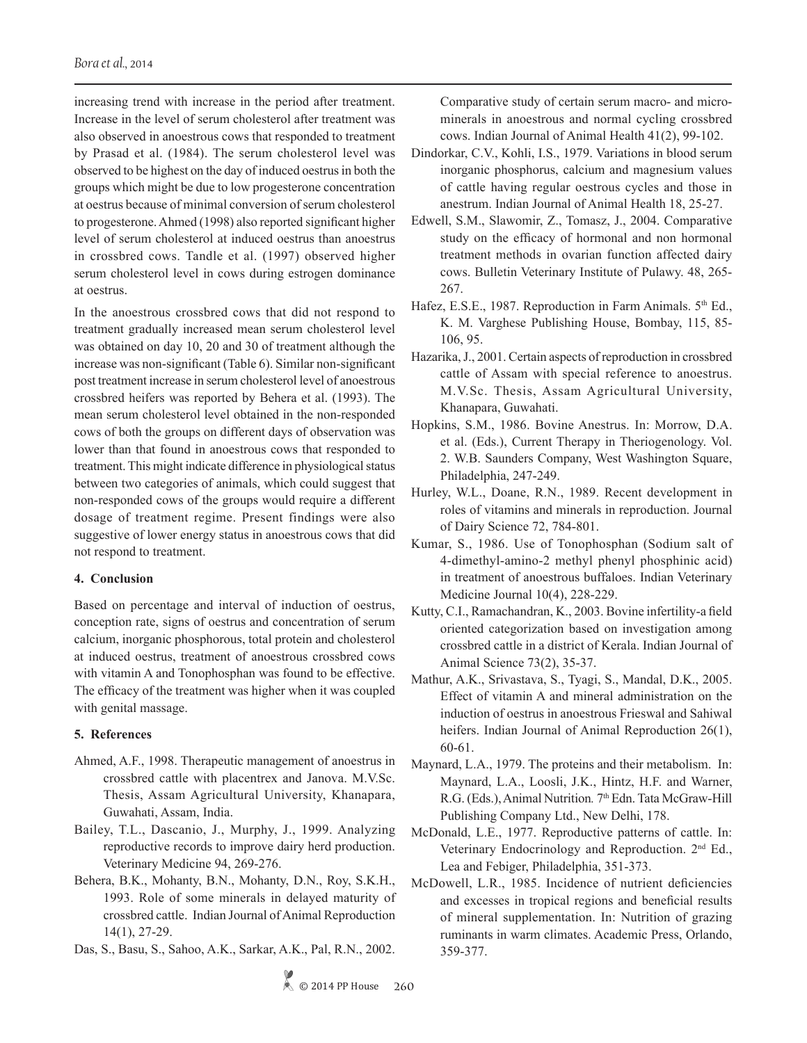increasing trend with increase in the period after treatment. Increase in the level of serum cholesterol after treatment was also observed in anoestrous cows that responded to treatment by Prasad et al. (1984). The serum cholesterol level was observed to be highest on the day of induced oestrus in both the groups which might be due to low progesterone concentration at oestrus because of minimal conversion of serum cholesterol to progesterone. Ahmed (1998) also reported significant higher level of serum cholesterol at induced oestrus than anoestrus in crossbred cows. Tandle et al. (1997) observed higher serum cholesterol level in cows during estrogen dominance at oestrus.

In the anoestrous crossbred cows that did not respond to treatment gradually increased mean serum cholesterol level was obtained on day 10, 20 and 30 of treatment although the increase was non-significant (Table 6). Similar non-significant post treatment increase in serum cholesterol level of anoestrous crossbred heifers was reported by Behera et al. (1993). The mean serum cholesterol level obtained in the non-responded cows of both the groups on different days of observation was lower than that found in anoestrous cows that responded to treatment. This might indicate difference in physiological status between two categories of animals, which could suggest that non-responded cows of the groups would require a different dosage of treatment regime. Present findings were also suggestive of lower energy status in anoestrous cows that did not respond to treatment.

## **4. Conclusion**

Based on percentage and interval of induction of oestrus, conception rate, signs of oestrus and concentration of serum calcium, inorganic phosphorous, total protein and cholesterol at induced oestrus, treatment of anoestrous crossbred cows with vitamin A and Tonophosphan was found to be effective. The efficacy of the treatment was higher when it was coupled with genital massage.

### **5. References**

- Ahmed, A.F., 1998. Therapeutic management of anoestrus in crossbred cattle with placentrex and Janova. M.V.Sc. Thesis, Assam Agricultural University, Khanapara, Guwahati, Assam, India.
- Bailey, T.L., Dascanio, J., Murphy, J., 1999. Analyzing reproductive records to improve dairy herd production. Veterinary Medicine 94, 269-276.
- Behera, B.K., Mohanty, B.N., Mohanty, D.N., Roy, S.K.H., 1993. Role of some minerals in delayed maturity of crossbred cattle. Indian Journal of Animal Reproduction 14(1), 27-29.
- Das, S., Basu, S., Sahoo, A.K., Sarkar, A.K., Pal, R.N., 2002.

Comparative study of certain serum macro- and microminerals in anoestrous and normal cycling crossbred cows. Indian Journal of Animal Health 41(2), 99-102.

- Dindorkar, C.V., Kohli, I.S., 1979. Variations in blood serum inorganic phosphorus, calcium and magnesium values of cattle having regular oestrous cycles and those in anestrum. Indian Journal of Animal Health 18, 25-27.
- Edwell, S.M., Slawomir, Z., Tomasz, J., 2004. Comparative study on the efficacy of hormonal and non hormonal treatment methods in ovarian function affected dairy cows. Bulletin Veterinary Institute of Pulawy. 48, 265- 267.
- Hafez, E.S.E., 1987. Reproduction in Farm Animals. 5<sup>th</sup> Ed., K. M. Varghese Publishing House, Bombay, 115, 85- 106, 95.
- Hazarika, J., 2001. Certain aspects of reproduction in crossbred cattle of Assam with special reference to anoestrus. M.V.Sc. Thesis, Assam Agricultural University, Khanapara, Guwahati.
- Hopkins, S.M., 1986. Bovine Anestrus. In: Morrow, D.A. et al. (Eds.), Current Therapy in Theriogenology. Vol. 2. W.B. Saunders Company, West Washington Square, Philadelphia, 247-249.
- Hurley, W.L., Doane, R.N., 1989. Recent development in roles of vitamins and minerals in reproduction. Journal of Dairy Science 72, 784-801.
- Kumar, S., 1986. Use of Tonophosphan (Sodium salt of 4-dimethyl-amino-2 methyl phenyl phosphinic acid) in treatment of anoestrous buffaloes. Indian Veterinary Medicine Journal 10(4), 228-229.
- Kutty, C.I., Ramachandran, K., 2003. Bovine infertility-a field oriented categorization based on investigation among crossbred cattle in a district of Kerala. Indian Journal of Animal Science 73(2), 35-37.
- Mathur, A.K., Srivastava, S., Tyagi, S., Mandal, D.K., 2005. Effect of vitamin A and mineral administration on the induction of oestrus in anoestrous Frieswal and Sahiwal heifers. Indian Journal of Animal Reproduction 26(1), 60-61.
- Maynard, L.A., 1979. The proteins and their metabolism. In: Maynard, L.A., Loosli, J.K., Hintz, H.F. and Warner, R.G. (Eds.), Animal Nutrition*.* 7th Edn. Tata McGraw-Hill Publishing Company Ltd., New Delhi, 178.
- McDonald, L.E., 1977. Reproductive patterns of cattle. In: Veterinary Endocrinology and Reproduction. 2nd Ed., Lea and Febiger, Philadelphia, 351-373.
- McDowell, L.R., 1985. Incidence of nutrient deficiencies and excesses in tropical regions and beneficial results of mineral supplementation. In: Nutrition of grazing ruminants in warm climates. Academic Press, Orlando, 359-377.